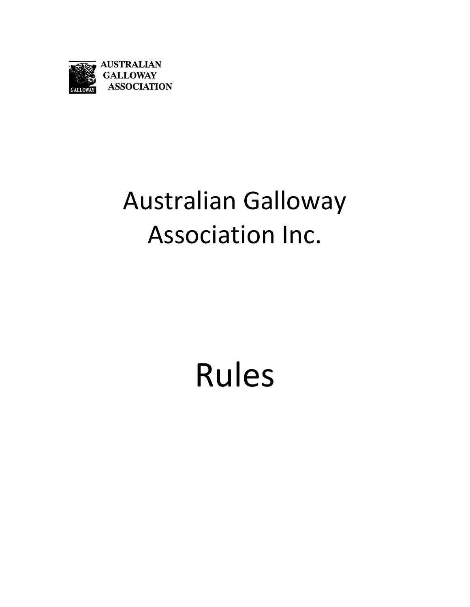

# Australian Galloway Association Inc.

# Rules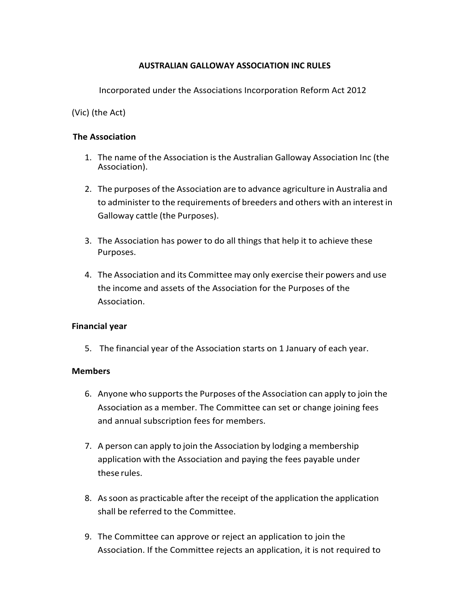#### **AUSTRALIAN GALLOWAY ASSOCIATION INC RULES**

Incorporated under the Associations Incorporation Reform Act 2012

## (Vic) (the Act)

#### **The Association**

- 1. The name of the Association is the Australian Galloway Association Inc (the Association).
- 2. The purposes of the Association are to advance agriculture in Australia and to administer to the requirements of breeders and others with an interest in Galloway cattle (the Purposes).
- 3. The Association has power to do all things that help it to achieve these Purposes.
- 4. The Association and its Committee may only exercise their powers and use the income and assets of the Association for the Purposes of the Association.

#### **Financial year**

5. The financial year of the Association starts on 1 January of each year.

#### **Members**

- 6. Anyone who supports the Purposes of the Association can apply to join the Association as a member. The Committee can set or change joining fees and annual subscription fees for members.
- 7. A person can apply to join the Association by lodging a membership application with the Association and paying the fees payable under these rules.
- 8. Assoon as practicable after the receipt of the application the application shall be referred to the Committee.
- 9. The Committee can approve or reject an application to join the Association. If the Committee rejects an application, it is not required to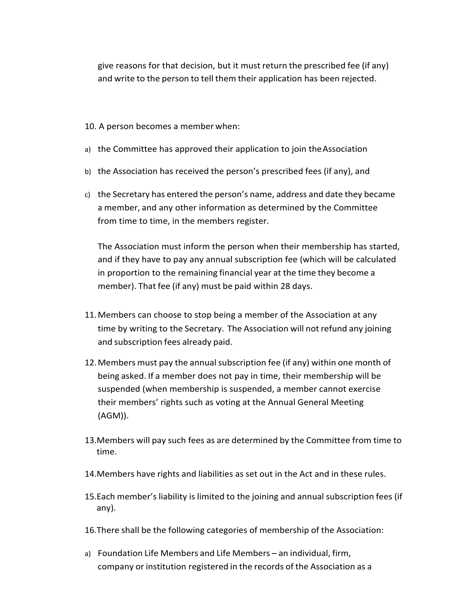give reasons for that decision, but it must return the prescribed fee (if any) and write to the person to tell them their application has been rejected.

- 10. A person becomes a member when:
- a) the Committee has approved their application to join theAssociation
- b) the Association has received the person's prescribed fees (if any), and
- c) the Secretary has entered the person's name, address and date they became a member, and any other information as determined by the Committee from time to time, in the members register.

The Association must inform the person when their membership has started, and if they have to pay any annual subscription fee (which will be calculated in proportion to the remaining financial year at the time they become a member). That fee (if any) must be paid within 28 days.

- 11.Members can choose to stop being a member of the Association at any time by writing to the Secretary. The Association will not refund any joining and subscription fees already paid.
- 12. Members must pay the annual subscription fee (if any) within one month of being asked. If a member does not pay in time, their membership will be suspended (when membership is suspended, a member cannot exercise their members' rights such as voting at the Annual General Meeting (AGM)).
- 13.Members will pay such fees as are determined by the Committee from time to time.
- 14.Members have rights and liabilities as set out in the Act and in these rules.
- 15.Each member'sliability is limited to the joining and annual subscription fees (if any).
- 16.There shall be the following categories of membership of the Association:
- a) Foundation Life Members and Life Members an individual, firm, company or institution registered in the records of the Association as a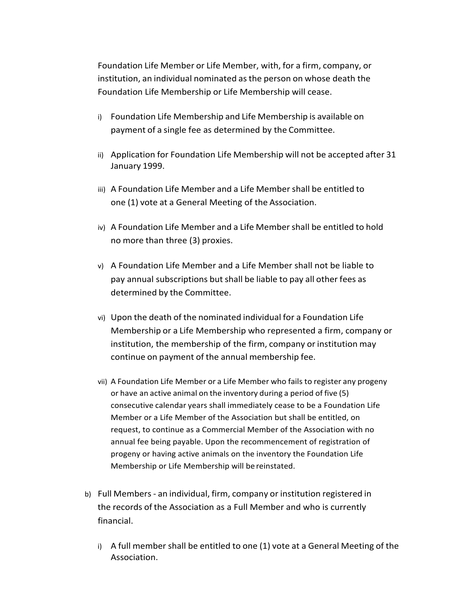Foundation Life Member or Life Member, with, for a firm, company, or institution, an individual nominated asthe person on whose death the Foundation Life Membership or Life Membership will cease.

- i) Foundation Life Membership and Life Membership is available on payment of a single fee as determined by the Committee.
- ii) Application for Foundation Life Membership will not be accepted after 31 January 1999.
- iii) A Foundation Life Member and a Life Membershall be entitled to one (1) vote at a General Meeting of the Association.
- iv) A Foundation Life Member and a Life Membershall be entitled to hold no more than three (3) proxies.
- v) A Foundation Life Member and a Life Member shall not be liable to pay annual subscriptions but shall be liable to pay all other fees as determined by the Committee.
- vi) Upon the death of the nominated individual for a Foundation Life Membership or a Life Membership who represented a firm, company or institution, the membership of the firm, company or institution may continue on payment of the annual membership fee.
- vii) A Foundation Life Member or a Life Member who fails to register any progeny or have an active animal on the inventory during a period of five (5) consecutive calendar years shall immediately cease to be a Foundation Life Member or a Life Member of the Association but shall be entitled, on request, to continue as a Commercial Member of the Association with no annual fee being payable. Upon the recommencement of registration of progeny or having active animals on the inventory the Foundation Life Membership or Life Membership will be reinstated.
- b) Full Members ‐ an individual, firm, company or institution registered in the records of the Association as a Full Member and who is currently financial.
	- i) A full member shall be entitled to one (1) vote at a General Meeting of the Association.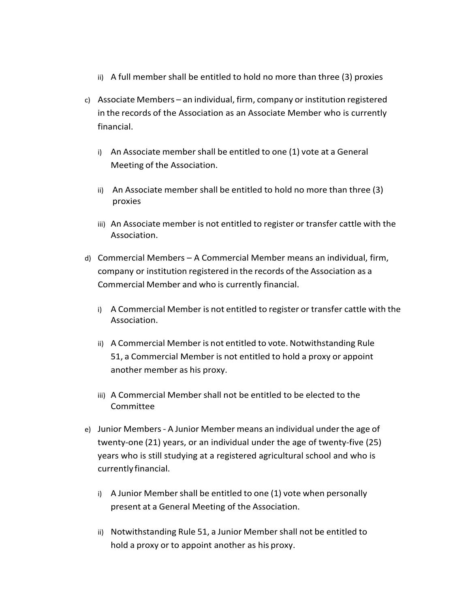- ii) A full member shall be entitled to hold no more than three (3) proxies
- c) Associate Members an individual, firm, company or institution registered in the records of the Association as an Associate Member who is currently financial.
	- i) An Associate member shall be entitled to one (1) vote at a General Meeting of the Association.
	- ii) An Associate member shall be entitled to hold no more than three (3) proxies
	- iii) An Associate member is not entitled to register or transfer cattle with the Association.
- d) Commercial Members A Commercial Member means an individual, firm, company or institution registered in the records of the Association as a Commercial Member and who is currently financial.
	- i) A Commercial Member is not entitled to register or transfer cattle with the Association.
	- ii) A Commercial Member is not entitled to vote. Notwithstanding Rule 51, a Commercial Member is not entitled to hold a proxy or appoint another member as his proxy.
	- iii) A Commercial Member shall not be entitled to be elected to the Committee
- e) Junior Members ‐ A Junior Member means an individual under the age of twenty‐one (21) years, or an individual under the age of twenty‐five (25) years who is still studying at a registered agricultural school and who is currently financial.
	- i) A Junior Member shall be entitled to one (1) vote when personally present at a General Meeting of the Association.
	- ii) Notwithstanding Rule 51, a Junior Membershall not be entitled to hold a proxy or to appoint another as his proxy.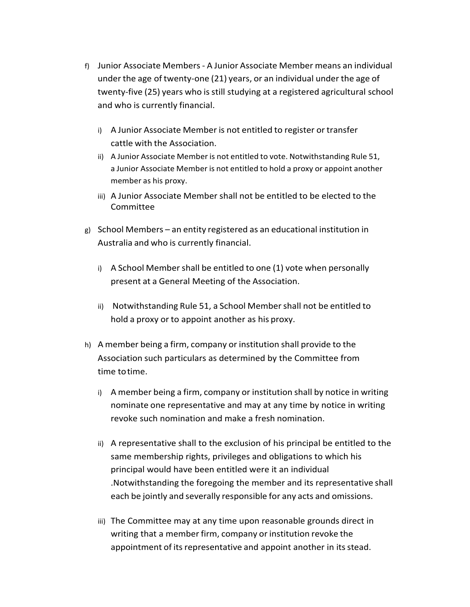- f) Junior Associate Members ‐ A Junior Associate Member means an individual under the age of twenty‐one (21) years, or an individual under the age of twenty-five (25) years who is still studying at a registered agricultural school and who is currently financial.
	- i) A Junior Associate Member is not entitled to register or transfer cattle with the Association.
	- ii) A Junior Associate Member is not entitled to vote. Notwithstanding Rule 51, a Junior Associate Member is not entitled to hold a proxy or appoint another member as his proxy.
	- iii) A Junior Associate Member shall not be entitled to be elected to the Committee
- g) School Members an entity registered as an educational institution in Australia and who is currently financial.
	- i) A School Member shall be entitled to one (1) vote when personally present at a General Meeting of the Association.
	- ii) Notwithstanding Rule 51, a School Membershall not be entitled to hold a proxy or to appoint another as his proxy.
- h) A member being a firm, company or institution shall provide to the Association such particulars as determined by the Committee from time totime.
	- i) A member being a firm, company or institution shall by notice in writing nominate one representative and may at any time by notice in writing revoke such nomination and make a fresh nomination.
	- ii) A representative shall to the exclusion of his principal be entitled to the same membership rights, privileges and obligations to which his principal would have been entitled were it an individual .Notwithstanding the foregoing the member and its representative shall each be jointly and severally responsible for any acts and omissions.
	- iii) The Committee may at any time upon reasonable grounds direct in writing that a member firm, company or institution revoke the appointment of its representative and appoint another in its stead.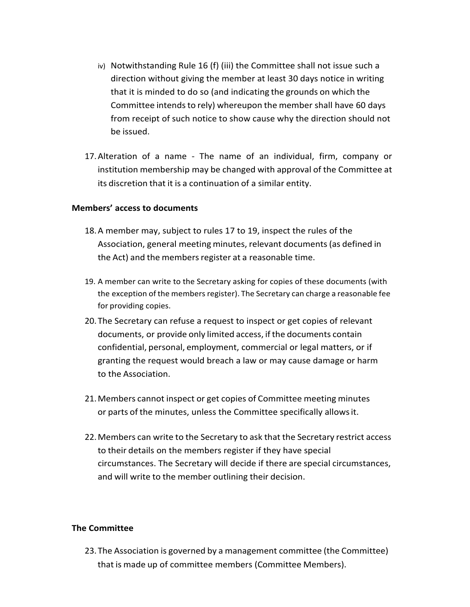- iv) Notwithstanding Rule 16 (f) (iii) the Committee shall not issue such a direction without giving the member at least 30 days notice in writing that it is minded to do so (and indicating the grounds on which the Committee intends to rely) whereupon the member shall have 60 days from receipt of such notice to show cause why the direction should not be issued.
- 17.Alteration of a name ‐ The name of an individual, firm, company or institution membership may be changed with approval of the Committee at its discretion that it is a continuation of a similar entity.

#### **Members' access to documents**

- 18.A member may, subject to rules 17 to 19, inspect the rules of the Association, general meeting minutes, relevant documents(as defined in the Act) and the members register at a reasonable time.
- 19. A member can write to the Secretary asking for copies of these documents (with the exception of the members register). The Secretary can charge a reasonable fee for providing copies.
- 20. The Secretary can refuse a request to inspect or get copies of relevant documents, or provide only limited access, if the documents contain confidential, personal, employment, commercial or legal matters, or if granting the request would breach a law or may cause damage or harm to the Association.
- 21.Members cannot inspect or get copies of Committee meeting minutes or parts of the minutes, unless the Committee specifically allowsit.
- 22.Members can write to the Secretary to ask that the Secretary restrict access to their details on the members register if they have special circumstances. The Secretary will decide if there are special circumstances, and will write to the member outlining their decision.

#### **The Committee**

23. The Association is governed by a management committee (the Committee) that is made up of committee members (Committee Members).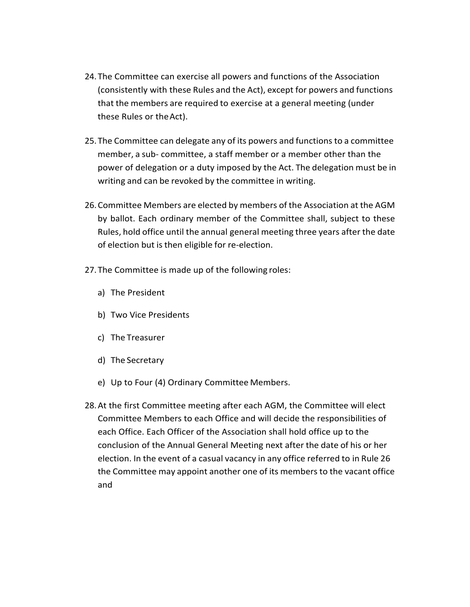- 24. The Committee can exercise all powers and functions of the Association (consistently with these Rules and the Act), except for powers and functions that the members are required to exercise at a general meeting (under these Rules or theAct).
- 25. The Committee can delegate any of its powers and functionsto a committee member, a sub‐ committee, a staff member or a member other than the power of delegation or a duty imposed by the Act. The delegation must be in writing and can be revoked by the committee in writing.
- 26.Committee Members are elected by members of the Association at the AGM by ballot. Each ordinary member of the Committee shall, subject to these Rules, hold office until the annual general meeting three years after the date of election but is then eligible for re-election.
- 27. The Committee is made up of the following roles:
	- a) The President
	- b) Two Vice Presidents
	- c) The Treasurer
	- d) The Secretary
	- e) Up to Four (4) Ordinary Committee Members.
- 28.At the first Committee meeting after each AGM, the Committee will elect Committee Members to each Office and will decide the responsibilities of each Office. Each Officer of the Association shall hold office up to the conclusion of the Annual General Meeting next after the date of his or her election. In the event of a casual vacancy in any office referred to in Rule 26 the Committee may appoint another one of its membersto the vacant office and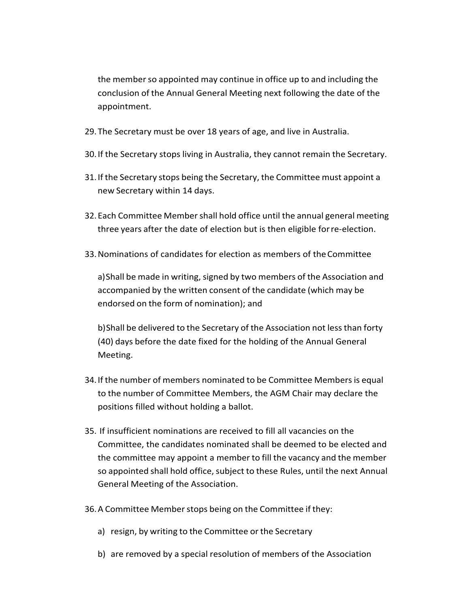the member so appointed may continue in office up to and including the conclusion of the Annual General Meeting next following the date of the appointment.

- 29. The Secretary must be over 18 years of age, and live in Australia.
- 30. If the Secretary stops living in Australia, they cannot remain the Secretary.
- 31. If the Secretary stops being the Secretary, the Committee must appoint a new Secretary within 14 days.
- 32. Each Committee Membershall hold office until the annual general meeting three years after the date of election but is then eligible forre‐election.
- 33.Nominations of candidates for election as members of theCommittee

a) Shall be made in writing, signed by two members of the Association and accompanied by the written consent of the candidate (which may be endorsed on the form of nomination); and

b)Shall be delivered to the Secretary of the Association not lessthan forty (40) days before the date fixed for the holding of the Annual General Meeting.

- 34. If the number of members nominated to be Committee Members is equal to the number of Committee Members, the AGM Chair may declare the positions filled without holding a ballot.
- 35. If insufficient nominations are received to fill all vacancies on the Committee, the candidates nominated shall be deemed to be elected and the committee may appoint a member to fill the vacancy and the member so appointed shall hold office, subject to these Rules, until the next Annual General Meeting of the Association.
- 36. A Committee Member stops being on the Committee if they:
	- a) resign, by writing to the Committee or the Secretary
	- b) are removed by a special resolution of members of the Association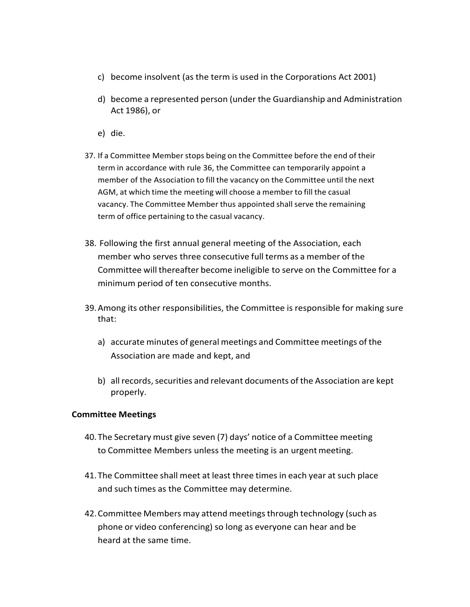- c) become insolvent (as the term is used in the Corporations Act 2001)
- d) become a represented person (under the Guardianship and Administration Act 1986), or
- e) die.
- 37. If a Committee Member stops being on the Committee before the end of their term in accordance with rule 36, the Committee can temporarily appoint a member of the Association to fill the vacancy on the Committee until the next AGM, at which time the meeting will choose a member to fill the casual vacancy. The Committee Member thus appointed shall serve the remaining term of office pertaining to the casual vacancy.
- 38. Following the first annual general meeting of the Association, each member who serves three consecutive full terms as a member of the Committee will thereafter become ineligible to serve on the Committee for a minimum period of ten consecutive months.
- 39.Among its other responsibilities, the Committee is responsible for making sure that:
	- a) accurate minutes of general meetings and Committee meetings of the Association are made and kept, and
	- b) all records, securities and relevant documents of the Association are kept properly.

#### **Committee Meetings**

- 40. The Secretary must give seven (7) days' notice of a Committee meeting to Committee Members unless the meeting is an urgent meeting.
- 41. The Committee shall meet at least three timesin each year at such place and such times as the Committee may determine.
- 42.Committee Members may attend meetingsthrough technology (such as phone or video conferencing) so long as everyone can hear and be heard at the same time.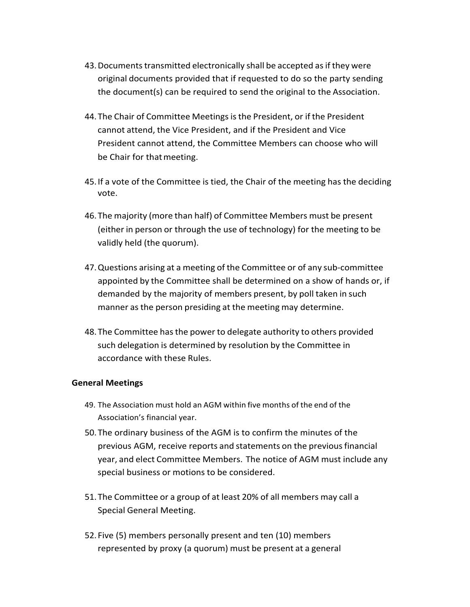- 43. Documents transmitted electronically shall be accepted as if they were original documents provided that if requested to do so the party sending the document(s) can be required to send the original to the Association.
- 44. The Chair of Committee Meetings is the President, or if the President cannot attend, the Vice President, and if the President and Vice President cannot attend, the Committee Members can choose who will be Chair for that meeting.
- 45. If a vote of the Committee is tied, the Chair of the meeting has the deciding vote.
- 46. The majority (more than half) of Committee Members must be present (either in person or through the use of technology) for the meeting to be validly held (the quorum).
- 47.Questions arising at a meeting of the Committee or of any sub‐committee appointed by the Committee shall be determined on a show of hands or, if demanded by the majority of members present, by poll taken in such manner as the person presiding at the meeting may determine.
- 48. The Committee hasthe power to delegate authority to others provided such delegation is determined by resolution by the Committee in accordance with these Rules.

#### **General Meetings**

- 49. The Association must hold an AGM within five months of the end of the Association's financial year.
- 50. The ordinary business of the AGM is to confirm the minutes of the previous AGM, receive reports and statements on the previousfinancial year, and elect Committee Members. The notice of AGM must include any special business or motions to be considered.
- 51. The Committee or a group of at least 20% of all members may call a Special General Meeting.
- 52. Five (5) members personally present and ten (10) members represented by proxy (a quorum) must be present at a general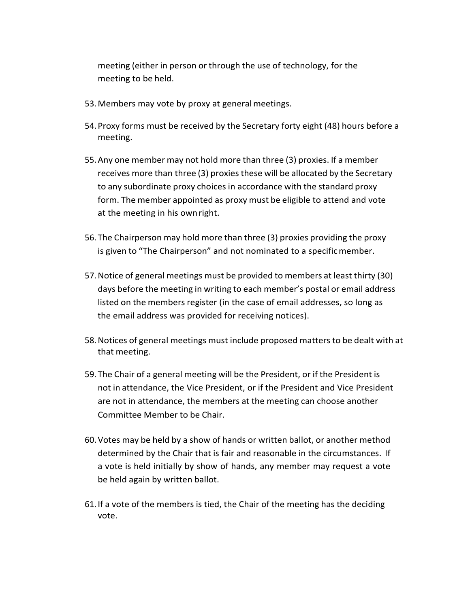meeting (either in person or through the use of technology, for the meeting to be held.

- 53.Members may vote by proxy at generalmeetings.
- 54.Proxy forms must be received by the Secretary forty eight (48) hours before a meeting.
- 55.Any one member may not hold more than three (3) proxies. If a member receives more than three (3) proxiesthese will be allocated by the Secretary to any subordinate proxy choices in accordance with the standard proxy form. The member appointed as proxy must be eligible to attend and vote at the meeting in his ownright.
- 56. The Chairperson may hold more than three (3) proxies providing the proxy is given to "The Chairperson" and not nominated to a specificmember.
- 57.Notice of general meetings must be provided to members at least thirty (30) days before the meeting in writing to each member's postal or email address listed on the members register (in the case of email addresses, so long as the email address was provided for receiving notices).
- 58.Notices of general meetings must include proposed mattersto be dealt with at that meeting.
- 59. The Chair of a general meeting will be the President, or if the President is not in attendance, the Vice President, or if the President and Vice President are not in attendance, the members at the meeting can choose another Committee Member to be Chair.
- 60.Votes may be held by a show of hands or written ballot, or another method determined by the Chair that is fair and reasonable in the circumstances. If a vote is held initially by show of hands, any member may request a vote be held again by written ballot.
- 61. If a vote of the members is tied, the Chair of the meeting has the deciding vote.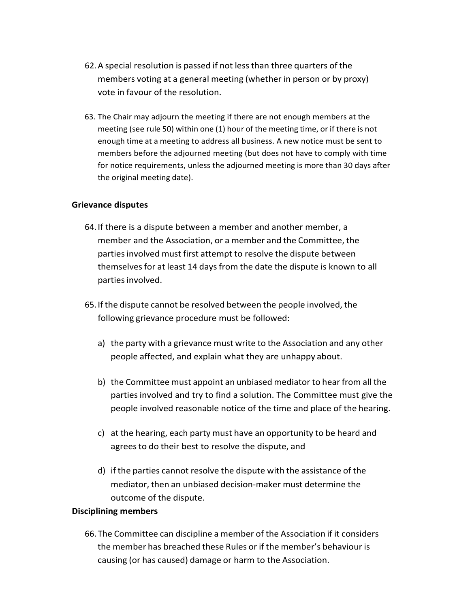- 62.A special resolution is passed if not lessthan three quarters of the members voting at a general meeting (whether in person or by proxy) vote in favour of the resolution.
- 63. The Chair may adjourn the meeting if there are not enough members at the meeting (see rule 50) within one (1) hour of the meeting time, or if there is not enough time at a meeting to address all business. A new notice must be sent to members before the adjourned meeting (but does not have to comply with time for notice requirements, unless the adjourned meeting is more than 30 days after the original meeting date).

#### **Grievance disputes**

- 64. If there is a dispute between a member and another member, a member and the Association, or a member and the Committee, the parties involved must first attempt to resolve the dispute between themselvesfor at least 14 daysfrom the date the dispute is known to all parties involved.
- 65. If the dispute cannot be resolved between the people involved, the following grievance procedure must be followed:
	- a) the party with a grievance must write to the Association and any other people affected, and explain what they are unhappy about.
	- b) the Committee must appoint an unbiased mediator to hear from all the parties involved and try to find a solution. The Committee must give the people involved reasonable notice of the time and place of the hearing.
	- c) at the hearing, each party must have an opportunity to be heard and agreesto do their best to resolve the dispute, and
	- d) if the parties cannot resolve the dispute with the assistance of the mediator, then an unbiased decision‐maker must determine the outcome of the dispute.

#### **Disciplining members**

66. The Committee can discipline a member of the Association if it considers the member has breached these Rules or if the member's behaviour is causing (or has caused) damage or harm to the Association.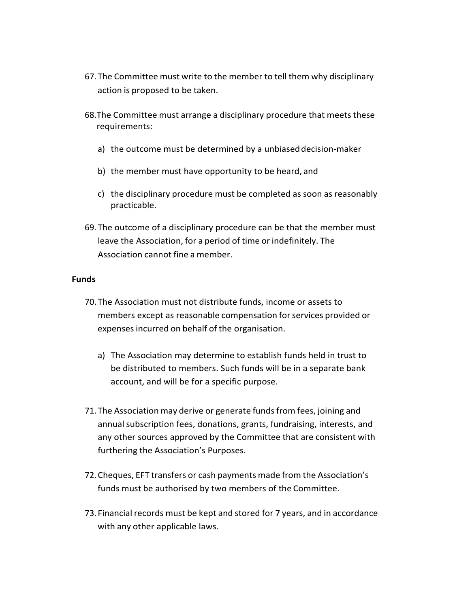- 67. The Committee must write to the member to tell them why disciplinary action is proposed to be taken.
- 68.The Committee must arrange a disciplinary procedure that meets these requirements:
	- a) the outcome must be determined by a unbiased decision-maker
	- b) the member must have opportunity to be heard, and
	- c) the disciplinary procedure must be completed as soon as reasonably practicable.
- 69. The outcome of a disciplinary procedure can be that the member must leave the Association, for a period of time or indefinitely. The Association cannot fine a member.

#### **Funds**

- 70. The Association must not distribute funds, income or assets to members except as reasonable compensation for services provided or expensesincurred on behalf of the organisation.
	- a) The Association may determine to establish funds held in trust to be distributed to members. Such funds will be in a separate bank account, and will be for a specific purpose.
- 71. The Association may derive or generate funds from fees, joining and annual subscription fees, donations, grants, fundraising, interests, and any other sources approved by the Committee that are consistent with furthering the Association's Purposes.
- 72.Cheques, EFT transfers or cash payments made from the Association's funds must be authorised by two members of the Committee.
- 73. Financial records must be kept and stored for 7 years, and in accordance with any other applicable laws.